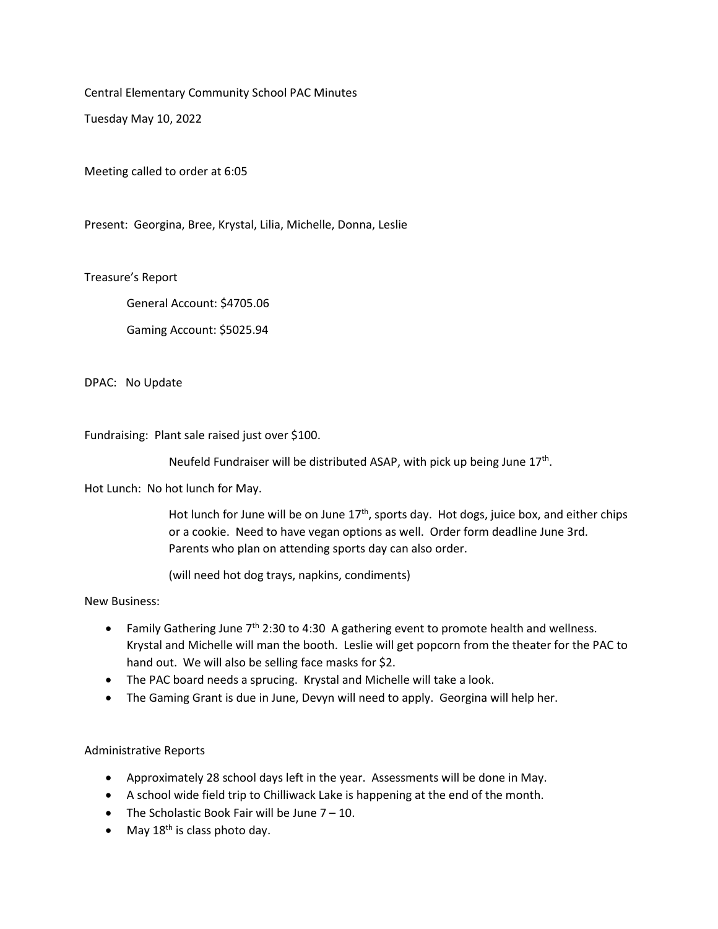Central Elementary Community School PAC Minutes

Tuesday May 10, 2022

Meeting called to order at 6:05

Present: Georgina, Bree, Krystal, Lilia, Michelle, Donna, Leslie

Treasure's Report

General Account: \$4705.06

Gaming Account: \$5025.94

DPAC: No Update

Fundraising: Plant sale raised just over \$100.

Neufeld Fundraiser will be distributed ASAP, with pick up being June 17<sup>th</sup>.

Hot Lunch: No hot lunch for May.

Hot lunch for June will be on June  $17<sup>th</sup>$ , sports day. Hot dogs, juice box, and either chips or a cookie. Need to have vegan options as well. Order form deadline June 3rd. Parents who plan on attending sports day can also order.

(will need hot dog trays, napkins, condiments)

New Business:

- Family Gathering June  $7<sup>th</sup>$  2:30 to 4:30 A gathering event to promote health and wellness. Krystal and Michelle will man the booth. Leslie will get popcorn from the theater for the PAC to hand out. We will also be selling face masks for \$2.
- The PAC board needs a sprucing. Krystal and Michelle will take a look.
- The Gaming Grant is due in June, Devyn will need to apply. Georgina will help her.

Administrative Reports

- Approximately 28 school days left in the year. Assessments will be done in May.
- A school wide field trip to Chilliwack Lake is happening at the end of the month.
- The Scholastic Book Fair will be June  $7 10$ .
- May  $18^{th}$  is class photo day.